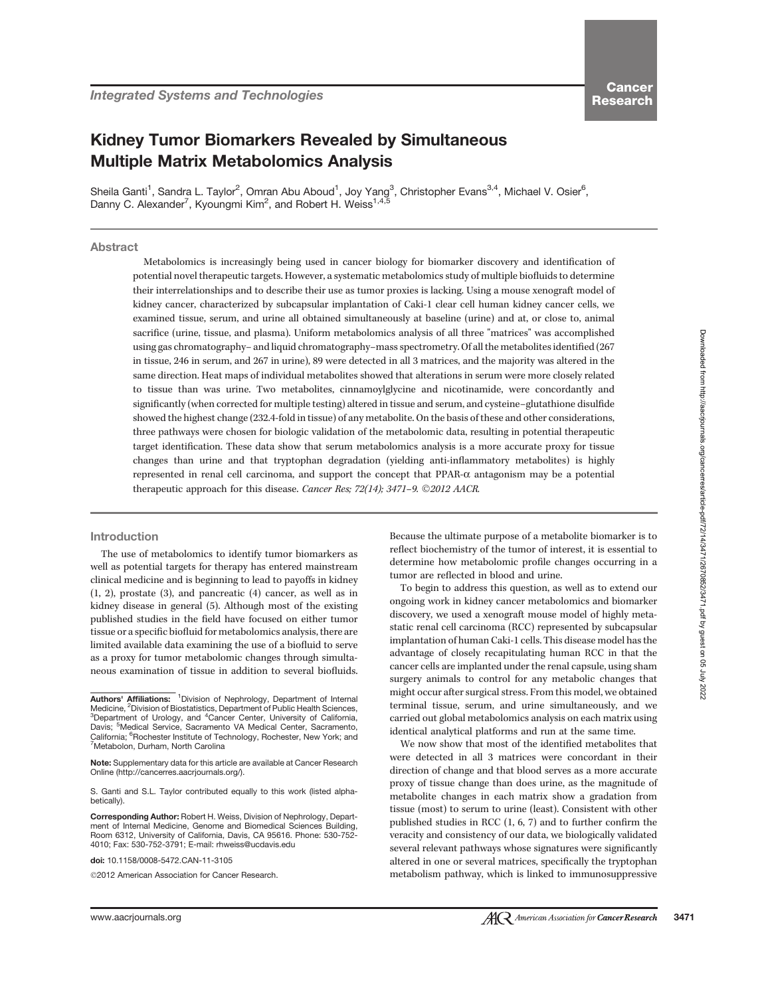# Kidney Tumor Biomarkers Revealed by Simultaneous Multiple Matrix Metabolomics Analysis

Sheila Ganti<sup>1</sup>, Sandra L. Taylor<sup>2</sup>, Omran Abu Aboud<sup>1</sup>, Joy Yang<sup>3</sup>, Christopher Evans<sup>3,4</sup>, Michael V. Osier<sup>6</sup>, Danny C. Alexander<sup>7</sup>, Kyoungmi Kim<sup>2</sup>, and Robert H. Weiss<sup>1,4,5</sup>

# Abstract

Metabolomics is increasingly being used in cancer biology for biomarker discovery and identification of potential novel therapeutic targets. However, a systematic metabolomics study of multiple biofluids to determine their interrelationships and to describe their use as tumor proxies is lacking. Using a mouse xenograft model of kidney cancer, characterized by subcapsular implantation of Caki-1 clear cell human kidney cancer cells, we examined tissue, serum, and urine all obtained simultaneously at baseline (urine) and at, or close to, animal sacrifice (urine, tissue, and plasma). Uniform metabolomics analysis of all three "matrices" was accomplished using gas chromatography– and liquid chromatography–mass spectrometry. Of all the metabolites identified (267 in tissue, 246 in serum, and 267 in urine), 89 were detected in all 3 matrices, and the majority was altered in the same direction. Heat maps of individual metabolites showed that alterations in serum were more closely related to tissue than was urine. Two metabolites, cinnamoylglycine and nicotinamide, were concordantly and significantly (when corrected for multiple testing) altered in tissue and serum, and cysteine–glutathione disulfide showed the highest change (232.4-fold in tissue) of any metabolite. On the basis of these and other considerations, three pathways were chosen for biologic validation of the metabolomic data, resulting in potential therapeutic target identification. These data show that serum metabolomics analysis is a more accurate proxy for tissue changes than urine and that tryptophan degradation (yielding anti-inflammatory metabolites) is highly represented in renal cell carcinoma, and support the concept that  $PPAR-\alpha$  antagonism may be a potential therapeutic approach for this disease. Cancer Res; 72(14); 3471-9. ©2012 AACR.

#### Introduction

The use of metabolomics to identify tumor biomarkers as well as potential targets for therapy has entered mainstream clinical medicine and is beginning to lead to payoffs in kidney (1, 2), prostate (3), and pancreatic (4) cancer, as well as in kidney disease in general (5). Although most of the existing published studies in the field have focused on either tumor tissue or a specific biofluid for metabolomics analysis, there are limited available data examining the use of a biofluid to serve as a proxy for tumor metabolomic changes through simultaneous examination of tissue in addition to several biofluids.

S. Ganti and S.L. Taylor contributed equally to this work (listed alphabetically).

Corresponding Author: Robert H. Weiss, Division of Nephrology, Department of Internal Medicine, Genome and Biomedical Sciences Building, Room 6312, University of California, Davis, CA 95616. Phone: 530-752- 4010; Fax: 530-752-3791; E-mail: rhweiss@ucdavis.edu

doi: 10.1158/0008-5472.CAN-11-3105

©2012 American Association for Cancer Research.

Because the ultimate purpose of a metabolite biomarker is to reflect biochemistry of the tumor of interest, it is essential to determine how metabolomic profile changes occurring in a tumor are reflected in blood and urine.

To begin to address this question, as well as to extend our ongoing work in kidney cancer metabolomics and biomarker discovery, we used a xenograft mouse model of highly metastatic renal cell carcinoma (RCC) represented by subcapsular implantation of human Caki-1 cells. This disease model has the advantage of closely recapitulating human RCC in that the cancer cells are implanted under the renal capsule, using sham surgery animals to control for any metabolic changes that might occur after surgical stress. From this model, we obtained terminal tissue, serum, and urine simultaneously, and we carried out global metabolomics analysis on each matrix using identical analytical platforms and run at the same time.

We now show that most of the identified metabolites that were detected in all 3 matrices were concordant in their direction of change and that blood serves as a more accurate proxy of tissue change than does urine, as the magnitude of metabolite changes in each matrix show a gradation from tissue (most) to serum to urine (least). Consistent with other published studies in RCC (1, 6, 7) and to further confirm the veracity and consistency of our data, we biologically validated several relevant pathways whose signatures were significantly altered in one or several matrices, specifically the tryptophan metabolism pathway, which is linked to immunosuppressive

Authors' Affiliations: <sup>1</sup> Division of Nephrology, Department of Internal Medicine, <sup>2</sup> Division of Biostatistics, Department of Public Health Sciences, <sup>3</sup>Department of Urology, and <sup>4</sup>Cancer Center, University of California,<br>Davis; <sup>5</sup>Medical Service, Sacramento VA Medical Center, Sacramento, California; <sup>6</sup>Rochester Institute of Technology, Rochester, New York; and<br><sup>7</sup>Metabolon, Durham, North Carolina

Note: Supplementary data for this article are available at Cancer Research Online (http://cancerres.aacrjournals.org/).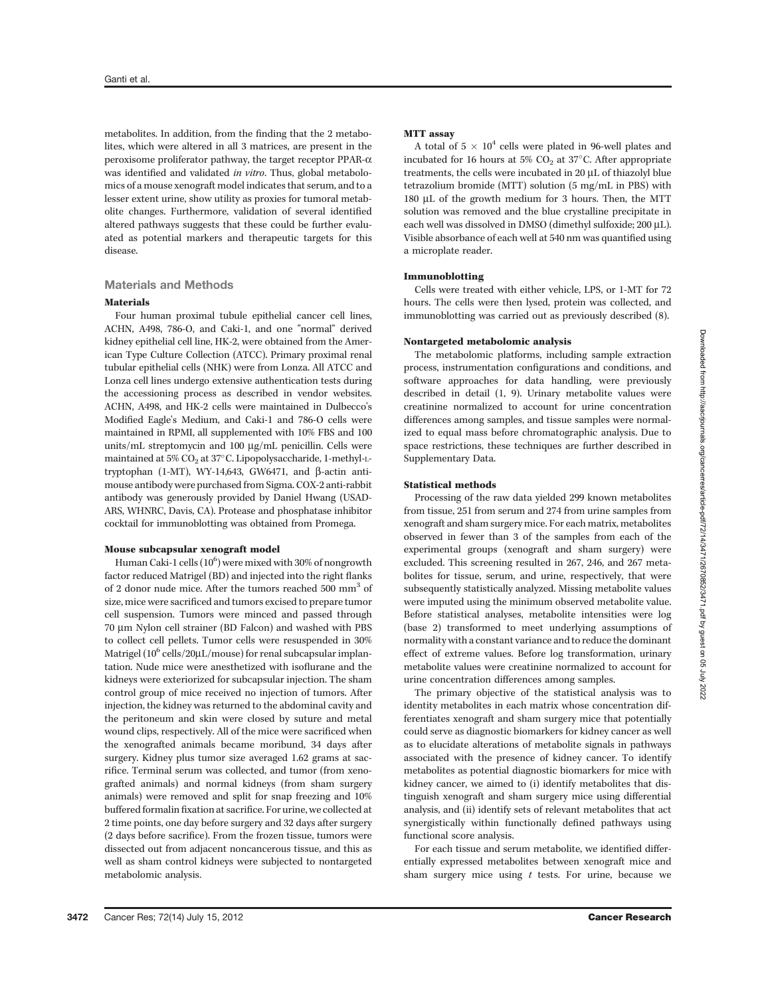metabolites. In addition, from the finding that the 2 metabolites, which were altered in all 3 matrices, are present in the peroxisome proliferator pathway, the target receptor PPAR- $\alpha$ was identified and validated in vitro. Thus, global metabolomics of a mouse xenograft model indicates that serum, and to a lesser extent urine, show utility as proxies for tumoral metabolite changes. Furthermore, validation of several identified altered pathways suggests that these could be further evaluated as potential markers and therapeutic targets for this disease.

# Materials and Methods

#### Materials

Four human proximal tubule epithelial cancer cell lines, ACHN, A498, 786-O, and Caki-1, and one "normal" derived kidney epithelial cell line, HK-2, were obtained from the American Type Culture Collection (ATCC). Primary proximal renal tubular epithelial cells (NHK) were from Lonza. All ATCC and Lonza cell lines undergo extensive authentication tests during the accessioning process as described in vendor websites. ACHN, A498, and HK-2 cells were maintained in Dulbecco's Modified Eagle's Medium, and Caki-1 and 786-O cells were maintained in RPMI, all supplemented with 10% FBS and 100 units/mL streptomycin and 100 µg/mL penicillin. Cells were maintained at 5%  $CO<sub>2</sub>$  at 37°C. Lipopolysaccharide, 1-methyl-Ltryptophan (1-MT), WY-14,643, GW6471, and  $\beta$ -actin antimouse antibody were purchased from Sigma. COX-2 anti-rabbit antibody was generously provided by Daniel Hwang (USAD-ARS, WHNRC, Davis, CA). Protease and phosphatase inhibitor cocktail for immunoblotting was obtained from Promega.

#### Mouse subcapsular xenograft model

Human Caki-1 cells  $(10^6)$  were mixed with 30% of nongrowth factor reduced Matrigel (BD) and injected into the right flanks of 2 donor nude mice. After the tumors reached 500 mm<sup>3</sup> of size, mice were sacrificed and tumors excised to prepare tumor cell suspension. Tumors were minced and passed through 70 µm Nylon cell strainer (BD Falcon) and washed with PBS to collect cell pellets. Tumor cells were resuspended in 30% Matrigel  $(10^6 \text{ cells}/20 \mu\text{L/mouse})$  for renal subcapsular implantation. Nude mice were anesthetized with isoflurane and the kidneys were exteriorized for subcapsular injection. The sham control group of mice received no injection of tumors. After injection, the kidney was returned to the abdominal cavity and the peritoneum and skin were closed by suture and metal wound clips, respectively. All of the mice were sacrificed when the xenografted animals became moribund, 34 days after surgery. Kidney plus tumor size averaged 1.62 grams at sacrifice. Terminal serum was collected, and tumor (from xenografted animals) and normal kidneys (from sham surgery animals) were removed and split for snap freezing and 10% buffered formalin fixation at sacrifice. For urine, we collected at 2 time points, one day before surgery and 32 days after surgery (2 days before sacrifice). From the frozen tissue, tumors were dissected out from adjacent noncancerous tissue, and this as well as sham control kidneys were subjected to nontargeted metabolomic analysis.

# MTT assay

A total of  $5 \times 10^4$  cells were plated in 96-well plates and incubated for 16 hours at 5%  $CO<sub>2</sub>$  at 37 $\degree$ C. After appropriate treatments, the cells were incubated in 20  $\mu$ L of thiazolyl blue tetrazolium bromide (MTT) solution (5 mg/mL in PBS) with 180 µL of the growth medium for 3 hours. Then, the MTT solution was removed and the blue crystalline precipitate in each well was dissolved in DMSO (dimethyl sulfoxide; 200 µL). Visible absorbance of each well at 540 nm was quantified using a microplate reader.

#### Immunoblotting

Cells were treated with either vehicle, LPS, or 1-MT for 72 hours. The cells were then lysed, protein was collected, and immunoblotting was carried out as previously described (8).

#### Nontargeted metabolomic analysis

The metabolomic platforms, including sample extraction process, instrumentation configurations and conditions, and software approaches for data handling, were previously described in detail (1, 9). Urinary metabolite values were creatinine normalized to account for urine concentration differences among samples, and tissue samples were normalized to equal mass before chromatographic analysis. Due to space restrictions, these techniques are further described in Supplementary Data.

#### Statistical methods

Processing of the raw data yielded 299 known metabolites from tissue, 251 from serum and 274 from urine samples from xenograft and sham surgery mice. For each matrix, metabolites observed in fewer than 3 of the samples from each of the experimental groups (xenograft and sham surgery) were excluded. This screening resulted in 267, 246, and 267 metabolites for tissue, serum, and urine, respectively, that were subsequently statistically analyzed. Missing metabolite values were imputed using the minimum observed metabolite value. Before statistical analyses, metabolite intensities were log (base 2) transformed to meet underlying assumptions of normality with a constant variance and to reduce the dominant effect of extreme values. Before log transformation, urinary metabolite values were creatinine normalized to account for urine concentration differences among samples.

The primary objective of the statistical analysis was to identity metabolites in each matrix whose concentration differentiates xenograft and sham surgery mice that potentially could serve as diagnostic biomarkers for kidney cancer as well as to elucidate alterations of metabolite signals in pathways associated with the presence of kidney cancer. To identify metabolites as potential diagnostic biomarkers for mice with kidney cancer, we aimed to (i) identify metabolites that distinguish xenograft and sham surgery mice using differential analysis, and (ii) identify sets of relevant metabolites that act synergistically within functionally defined pathways using functional score analysis.

For each tissue and serum metabolite, we identified differentially expressed metabolites between xenograft mice and sham surgery mice using  $t$  tests. For urine, because we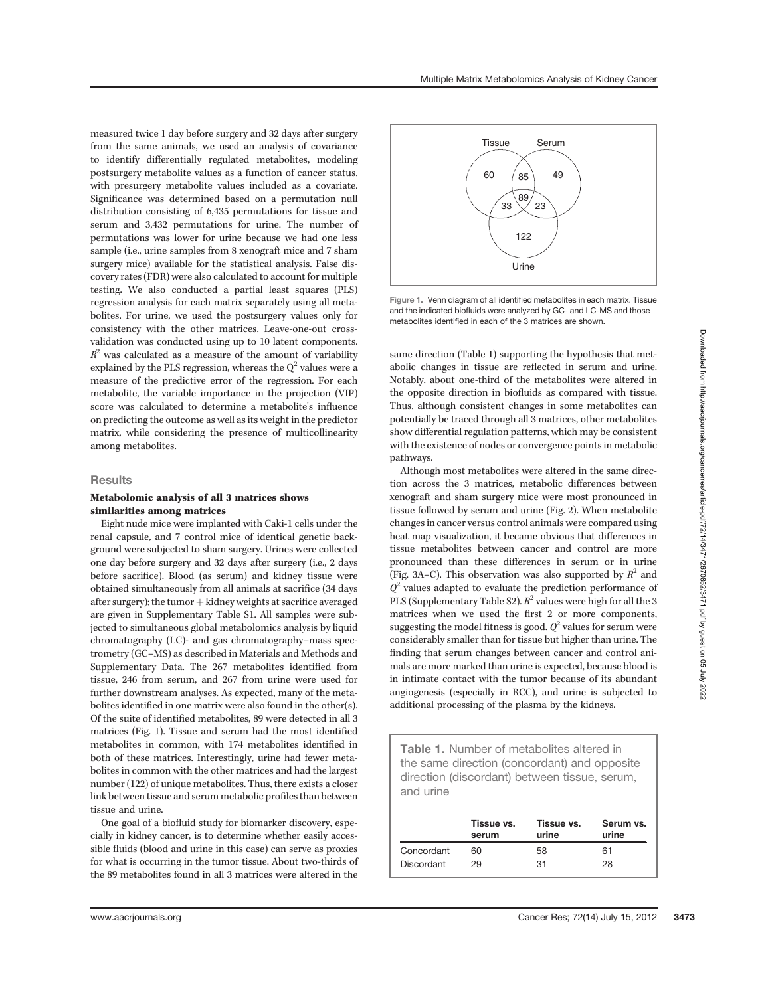measured twice 1 day before surgery and 32 days after surgery from the same animals, we used an analysis of covariance to identify differentially regulated metabolites, modeling postsurgery metabolite values as a function of cancer status, with presurgery metabolite values included as a covariate. Significance was determined based on a permutation null distribution consisting of 6,435 permutations for tissue and serum and 3,432 permutations for urine. The number of permutations was lower for urine because we had one less sample (i.e., urine samples from 8 xenograft mice and 7 sham surgery mice) available for the statistical analysis. False discovery rates (FDR) were also calculated to account for multiple testing. We also conducted a partial least squares (PLS) regression analysis for each matrix separately using all metabolites. For urine, we used the postsurgery values only for consistency with the other matrices. Leave-one-out crossvalidation was conducted using up to 10 latent components.  $R<sup>2</sup>$  was calculated as a measure of the amount of variability explained by the PLS regression, whereas the  $Q^2$  values were a measure of the predictive error of the regression. For each metabolite, the variable importance in the projection (VIP) score was calculated to determine a metabolite's influence on predicting the outcome as well as its weight in the predictor matrix, while considering the presence of multicollinearity among metabolites.

# **Results**

# Metabolomic analysis of all 3 matrices shows similarities among matrices

Eight nude mice were implanted with Caki-1 cells under the renal capsule, and 7 control mice of identical genetic background were subjected to sham surgery. Urines were collected one day before surgery and 32 days after surgery (i.e., 2 days before sacrifice). Blood (as serum) and kidney tissue were obtained simultaneously from all animals at sacrifice (34 days after surgery); the tumor  $+$  kidney weights at sacrifice averaged are given in Supplementary Table S1. All samples were subjected to simultaneous global metabolomics analysis by liquid chromatography (LC)- and gas chromatography–mass spectrometry (GC–MS) as described in Materials and Methods and Supplementary Data. The 267 metabolites identified from tissue, 246 from serum, and 267 from urine were used for further downstream analyses. As expected, many of the metabolites identified in one matrix were also found in the other(s). Of the suite of identified metabolites, 89 were detected in all 3 matrices (Fig. 1). Tissue and serum had the most identified metabolites in common, with 174 metabolites identified in both of these matrices. Interestingly, urine had fewer metabolites in common with the other matrices and had the largest number (122) of unique metabolites. Thus, there exists a closer link between tissue and serum metabolic profiles than between tissue and urine.

One goal of a biofluid study for biomarker discovery, especially in kidney cancer, is to determine whether easily accessible fluids (blood and urine in this case) can serve as proxies for what is occurring in the tumor tissue. About two-thirds of the 89 metabolites found in all 3 matrices were altered in the



Figure 1. Venn diagram of all identified metabolites in each matrix. Tissue and the indicated biofluids were analyzed by GC- and LC-MS and those metabolites identified in each of the 3 matrices are shown.

same direction (Table 1) supporting the hypothesis that metabolic changes in tissue are reflected in serum and urine. Notably, about one-third of the metabolites were altered in the opposite direction in biofluids as compared with tissue. Thus, although consistent changes in some metabolites can potentially be traced through all 3 matrices, other metabolites show differential regulation patterns, which may be consistent with the existence of nodes or convergence points in metabolic pathways.

Although most metabolites were altered in the same direction across the 3 matrices, metabolic differences between xenograft and sham surgery mice were most pronounced in tissue followed by serum and urine (Fig. 2). When metabolite changes in cancer versus control animals were compared using heat map visualization, it became obvious that differences in tissue metabolites between cancer and control are more pronounced than these differences in serum or in urine (Fig. 3A–C). This observation was also supported by  $R^2$  and  $Q<sup>2</sup>$  values adapted to evaluate the prediction performance of PLS (Supplementary Table S2).  $R^2$  values were high for all the 3 matrices when we used the first 2 or more components, suggesting the model fitness is good.  $Q^2$  values for serum were considerably smaller than for tissue but higher than urine. The finding that serum changes between cancer and control animals are more marked than urine is expected, because blood is in intimate contact with the tumor because of its abundant angiogenesis (especially in RCC), and urine is subjected to additional processing of the plasma by the kidneys.

Table 1. Number of metabolites altered in the same direction (concordant) and opposite direction (discordant) between tissue, serum, and urine

|            | Tissue vs.<br>serum | Tissue vs.<br>urine | Serum vs.<br>urine |
|------------|---------------------|---------------------|--------------------|
| Concordant | 60                  | 58                  | 61                 |
| Discordant | 29                  | 31                  | 28                 |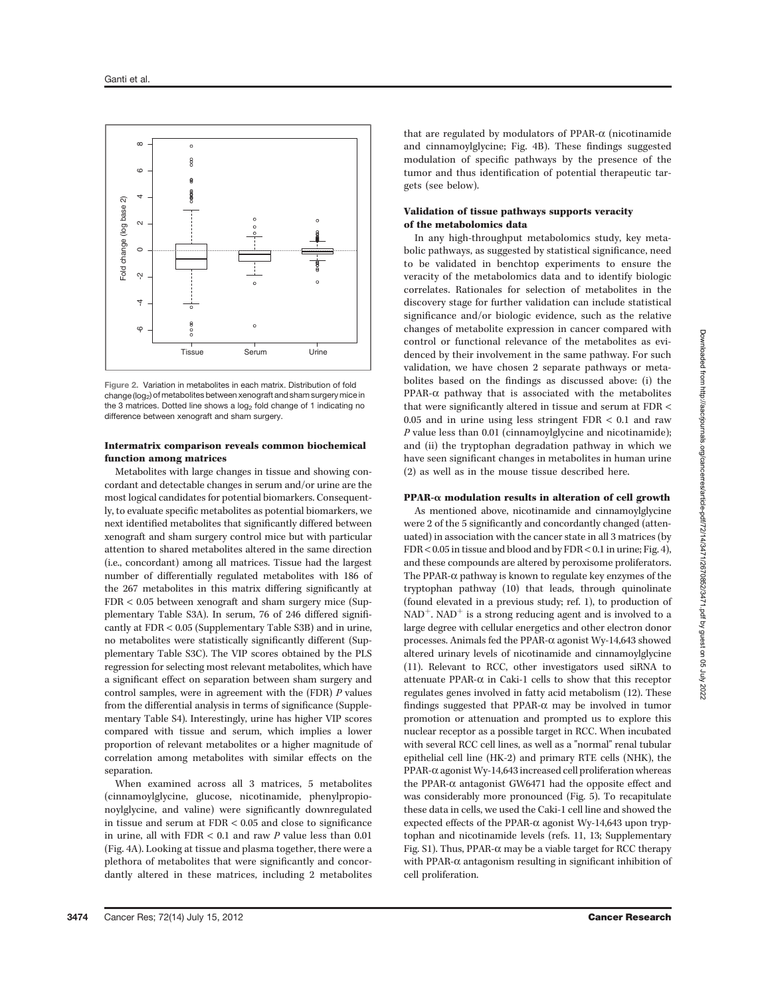

Figure 2. Variation in metabolites in each matrix. Distribution of fold change (log2) of metabolites between xenograft and sham surgery mice in the 3 matrices. Dotted line shows a  $log_2$  fold change of 1 indicating no difference between xenograft and sham surgery.

## Intermatrix comparison reveals common biochemical function among matrices

Metabolites with large changes in tissue and showing concordant and detectable changes in serum and/or urine are the most logical candidates for potential biomarkers. Consequently, to evaluate specific metabolites as potential biomarkers, we next identified metabolites that significantly differed between xenograft and sham surgery control mice but with particular attention to shared metabolites altered in the same direction (i.e., concordant) among all matrices. Tissue had the largest number of differentially regulated metabolites with 186 of the 267 metabolites in this matrix differing significantly at FDR < 0.05 between xenograft and sham surgery mice (Supplementary Table S3A). In serum, 76 of 246 differed significantly at FDR < 0.05 (Supplementary Table S3B) and in urine, no metabolites were statistically significantly different (Supplementary Table S3C). The VIP scores obtained by the PLS regression for selecting most relevant metabolites, which have a significant effect on separation between sham surgery and control samples, were in agreement with the  $(FDR)$   $P$  values from the differential analysis in terms of significance (Supplementary Table S4). Interestingly, urine has higher VIP scores compared with tissue and serum, which implies a lower proportion of relevant metabolites or a higher magnitude of correlation among metabolites with similar effects on the separation.

When examined across all 3 matrices, 5 metabolites (cinnamoylglycine, glucose, nicotinamide, phenylpropionoylglycine, and valine) were significantly downregulated in tissue and serum at FDR < 0.05 and close to significance in urine, all with  $FDR < 0.1$  and raw  $P$  value less than  $0.01$ (Fig. 4A). Looking at tissue and plasma together, there were a plethora of metabolites that were significantly and concordantly altered in these matrices, including 2 metabolites that are regulated by modulators of PPAR- $\alpha$  (nicotinamide and cinnamoylglycine; Fig. 4B). These findings suggested modulation of specific pathways by the presence of the tumor and thus identification of potential therapeutic targets (see below).

# Validation of tissue pathways supports veracity of the metabolomics data

In any high-throughput metabolomics study, key metabolic pathways, as suggested by statistical significance, need to be validated in benchtop experiments to ensure the veracity of the metabolomics data and to identify biologic correlates. Rationales for selection of metabolites in the discovery stage for further validation can include statistical significance and/or biologic evidence, such as the relative changes of metabolite expression in cancer compared with control or functional relevance of the metabolites as evidenced by their involvement in the same pathway. For such validation, we have chosen 2 separate pathways or metabolites based on the findings as discussed above: (i) the  $PPAR-\alpha$  pathway that is associated with the metabolites that were significantly altered in tissue and serum at FDR < 0.05 and in urine using less stringent FDR < 0.1 and raw P value less than 0.01 (cinnamoylglycine and nicotinamide); and (ii) the tryptophan degradation pathway in which we have seen significant changes in metabolites in human urine (2) as well as in the mouse tissue described here.

# PPAR- $\alpha$  modulation results in alteration of cell growth

As mentioned above, nicotinamide and cinnamoylglycine were 2 of the 5 significantly and concordantly changed (attenuated) in association with the cancer state in all 3 matrices (by FDR < 0.05 in tissue and blood and by FDR < 0.1 in urine; Fig. 4), and these compounds are altered by peroxisome proliferators. The PPAR- $\alpha$  pathway is known to regulate key enzymes of the tryptophan pathway (10) that leads, through quinolinate (found elevated in a previous study; ref. 1), to production of  $NAD<sup>+</sup>$ .  $NAD<sup>+</sup>$  is a strong reducing agent and is involved to a large degree with cellular energetics and other electron donor processes. Animals fed the PPAR-a agonist Wy-14,643 showed altered urinary levels of nicotinamide and cinnamoylglycine (11). Relevant to RCC, other investigators used siRNA to attenuate PPAR- $\alpha$  in Caki-1 cells to show that this receptor regulates genes involved in fatty acid metabolism (12). These findings suggested that  $PPAR-\alpha$  may be involved in tumor promotion or attenuation and prompted us to explore this nuclear receptor as a possible target in RCC. When incubated with several RCC cell lines, as well as a "normal" renal tubular epithelial cell line (HK-2) and primary RTE cells (NHK), the  $PPAR-\alpha$  agonist Wy-14,643 increased cell proliferation whereas the PPAR- $\alpha$  antagonist GW6471 had the opposite effect and was considerably more pronounced (Fig. 5). To recapitulate these data in cells, we used the Caki-1 cell line and showed the expected effects of the PPAR- $\alpha$  agonist Wy-14,643 upon tryptophan and nicotinamide levels (refs. 11, 13; Supplementary Fig. S1). Thus, PPAR- $\alpha$  may be a viable target for RCC therapy with PPAR- $\alpha$  antagonism resulting in significant inhibition of cell proliferation.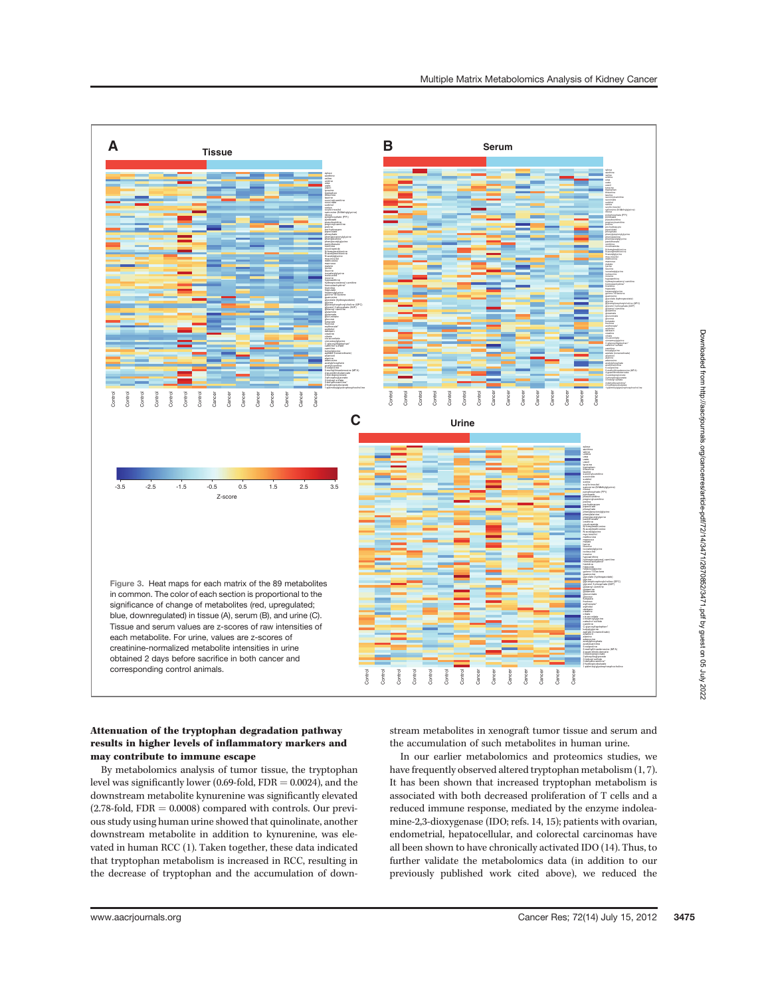

# Attenuation of the tryptophan degradation pathway results in higher levels of inflammatory markers and may contribute to immune escape

By metabolomics analysis of tumor tissue, the tryptophan level was significantly lower (0.69-fold,  $FDR = 0.0024$ ), and the downstream metabolite kynurenine was significantly elevated  $(2.78\text{-}fold, FDR = 0.0008)$  compared with controls. Our previous study using human urine showed that quinolinate, another downstream metabolite in addition to kynurenine, was elevated in human RCC (1). Taken together, these data indicated that tryptophan metabolism is increased in RCC, resulting in the decrease of tryptophan and the accumulation of downstream metabolites in xenograft tumor tissue and serum and the accumulation of such metabolites in human urine.

In our earlier metabolomics and proteomics studies, we have frequently observed altered tryptophan metabolism (1, 7). It has been shown that increased tryptophan metabolism is associated with both decreased proliferation of T cells and a reduced immune response, mediated by the enzyme indoleamine-2,3-dioxygenase (IDO; refs. 14, 15); patients with ovarian, endometrial, hepatocellular, and colorectal carcinomas have all been shown to have chronically activated IDO (14). Thus, to further validate the metabolomics data (in addition to our previously published work cited above), we reduced the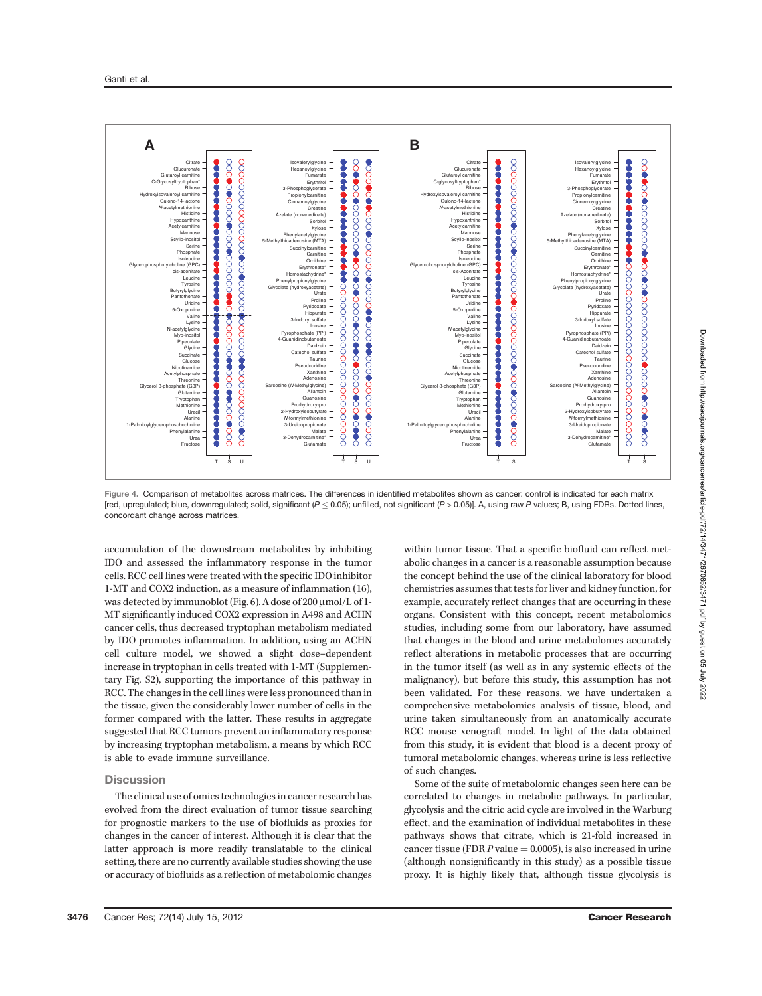

Figure 4. Comparison of metabolites across matrices. The differences in identified metabolites shown as cancer: control is indicated for each matrix [red, upregulated; blue, downregulated; solid, significant ( $P \le 0.05$ ); unfilled, not significant (P > 0.05)]. A, using raw P values; B, using FDRs. Dotted lines, concordant change across matrices.

accumulation of the downstream metabolites by inhibiting IDO and assessed the inflammatory response in the tumor cells. RCC cell lines were treated with the specific IDO inhibitor 1-MT and COX2 induction, as a measure of inflammation (16), was detected by immunoblot (Fig. 6). A dose of 200  $\mu$ mol/L of 1-MT significantly induced COX2 expression in A498 and ACHN cancer cells, thus decreased tryptophan metabolism mediated by IDO promotes inflammation. In addition, using an ACHN cell culture model, we showed a slight dose–dependent increase in tryptophan in cells treated with 1-MT (Supplementary Fig. S2), supporting the importance of this pathway in RCC. The changes in the cell lines were less pronounced than in the tissue, given the considerably lower number of cells in the former compared with the latter. These results in aggregate suggested that RCC tumors prevent an inflammatory response by increasing tryptophan metabolism, a means by which RCC is able to evade immune surveillance.

#### **Discussion**

The clinical use of omics technologies in cancer research has evolved from the direct evaluation of tumor tissue searching for prognostic markers to the use of biofluids as proxies for changes in the cancer of interest. Although it is clear that the latter approach is more readily translatable to the clinical setting, there are no currently available studies showing the use or accuracy of biofluids as a reflection of metabolomic changes within tumor tissue. That a specific biofluid can reflect metabolic changes in a cancer is a reasonable assumption because the concept behind the use of the clinical laboratory for blood chemistries assumes that tests for liver and kidney function, for example, accurately reflect changes that are occurring in these organs. Consistent with this concept, recent metabolomics studies, including some from our laboratory, have assumed that changes in the blood and urine metabolomes accurately reflect alterations in metabolic processes that are occurring in the tumor itself (as well as in any systemic effects of the malignancy), but before this study, this assumption has not been validated. For these reasons, we have undertaken a comprehensive metabolomics analysis of tissue, blood, and urine taken simultaneously from an anatomically accurate RCC mouse xenograft model. In light of the data obtained from this study, it is evident that blood is a decent proxy of tumoral metabolomic changes, whereas urine is less reflective of such changes.

Some of the suite of metabolomic changes seen here can be correlated to changes in metabolic pathways. In particular, glycolysis and the citric acid cycle are involved in the Warburg effect, and the examination of individual metabolites in these pathways shows that citrate, which is 21-fold increased in cancer tissue (FDR  $P$  value  $= 0.0005$ ), is also increased in urine (although nonsignificantly in this study) as a possible tissue proxy. It is highly likely that, although tissue glycolysis is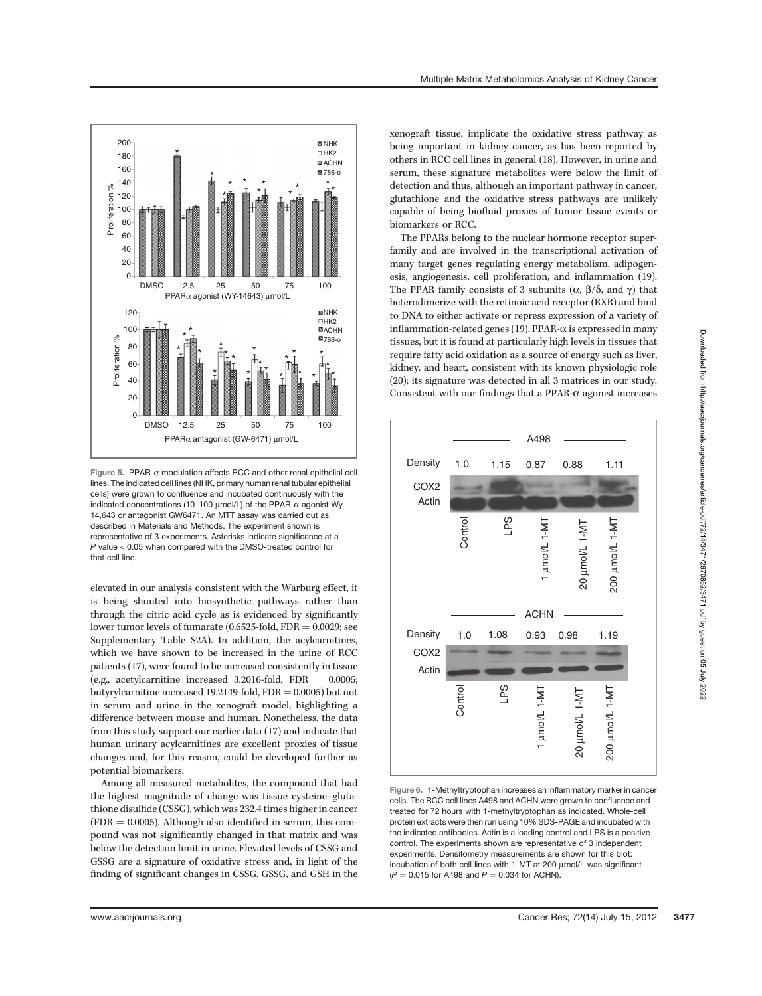

Figure 5. PPAR- $\alpha$  modulation affects RCC and other renal epithelial cell lines. The indicated cell lines (NHK, primary human renal tubular epithelial cells) were grown to confluence and incubated continuously with the indicated concentrations (10-100  $\mu$ mol/L) of the PPAR- $\alpha$  agonist Wy-14,643 or antagonist GW6471. An MTT assay was carried out as described in Materials and Methods. The experiment shown is representative of 3 experiments. Asterisks indicate significance at a P value < 0.05 when compared with the DMSO-treated control for that cell line.

elevated in our analysis consistent with the Warburg effect, it is being shunted into biosynthetic pathways rather than through the citric acid cycle as is evidenced by significantly lower tumor levels of fumarate (0.6525-fold,  $FDR = 0.0029$ ; see Supplementary Table S2A). In addition, the acylcarnitines, which we have shown to be increased in the urine of RCC patients (17), were found to be increased consistently in tissue (e.g., acetylcarnitine increased 3.2016-fold,  $FDR = 0.0005$ ; butyrylcarnitine increased 19.2149-fold,  $FDR = 0.0005$ ) but not in serum and urine in the xenograft model, highlighting a difference between mouse and human. Nonetheless, the data from this study support our earlier data (17) and indicate that human urinary acylcarnitines are excellent proxies of tissue changes and, for this reason, could be developed further as potential biomarkers.

Among all measured metabolites, the compound that had the highest magnitude of change was tissue cysteine–glutathione disulfide (CSSG), which was 232.4 times higher in cancer  $(FDR = 0.0005)$ . Although also identified in serum, this compound was not significantly changed in that matrix and was below the detection limit in urine. Elevated levels of CSSG and GSSG are a signature of oxidative stress and, in light of the finding of significant changes in CSSG, GSSG, and GSH in the xenograft tissue, implicate the oxidative stress pathway as being important in kidney cancer, as has been reported by others in RCC cell lines in general (18). However, in urine and serum, these signature metabolites were below the limit of detection and thus, although an important pathway in cancer, glutathione and the oxidative stress pathways are unlikely capable of being biofluid proxies of tumor tissue events or biomarkers or RCC.

The PPARs belong to the nuclear hormone receptor superfamily and are involved in the transcriptional activation of many target genes regulating energy metabolism, adipogenesis, angiogenesis, cell proliferation, and inflammation (19). The PPAR family consists of 3 subunits  $(\alpha, \beta/\delta, \text{ and } \gamma)$  that heterodimerize with the retinoic acid receptor (RXR) and bind to DNA to either activate or repress expression of a variety of inflammation-related genes (19). PPAR- $\alpha$  is expressed in many tissues, but it is found at particularly high levels in tissues that require fatty acid oxidation as a source of energy such as liver, kidney, and heart, consistent with its known physiologic role (20); its signature was detected in all 3 matrices in our study. Consistent with our findings that a PPAR- $\alpha$  agonist increases



Figure 6. 1-Methyltryptophan increases an inflammatory marker in cancer cells. The RCC cell lines A498 and ACHN were grown to confluence and treated for 72 hours with 1-methyltryptophan as indicated. Whole-cell protein extracts were then run using 10% SDS-PAGE and incubated with the indicated antibodies. Actin is a loading control and LPS is a positive control. The experiments shown are representative of 3 independent experiments. Densitometry measurements are shown for this blot: incubation of both cell lines with 1-MT at 200 umol/L was significant  $(P = 0.015$  for A498 and  $P = 0.034$  for ACHN).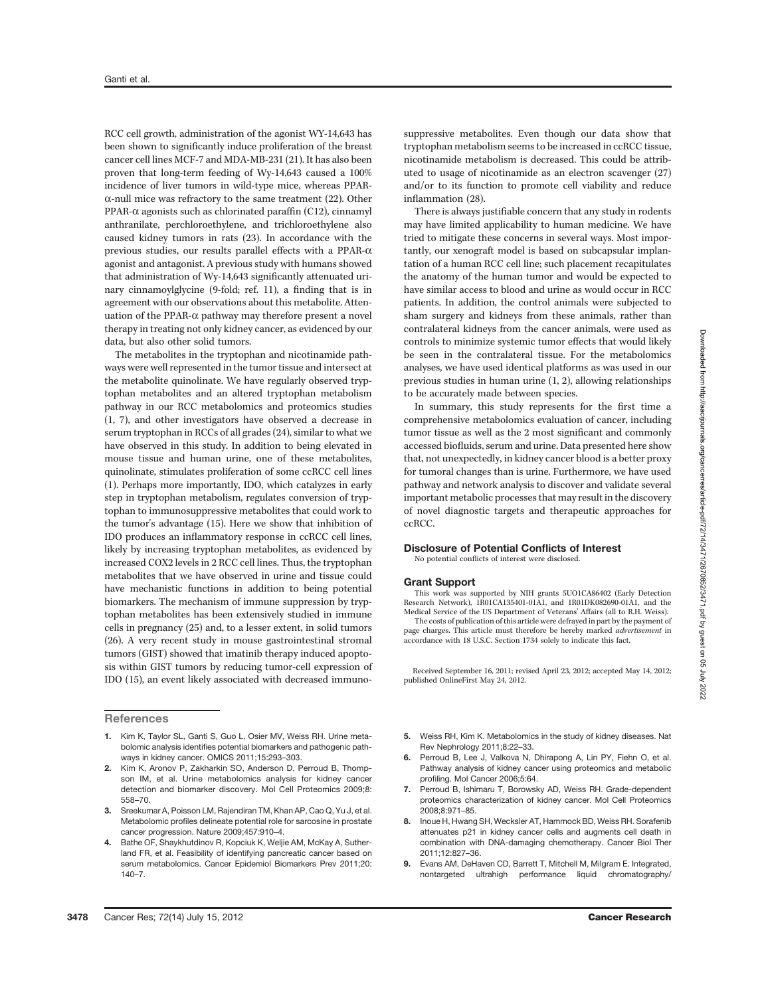RCC cell growth, administration of the agonist WY-14,643 has been shown to significantly induce proliferation of the breast cancer cell lines MCF-7 and MDA-MB-231 (21). It has also been proven that long-term feeding of Wy-14,643 caused a 100% incidence of liver tumors in wild-type mice, whereas PPAR- $\alpha$ -null mice was refractory to the same treatment (22). Other PPAR- $\alpha$  agonists such as chlorinated paraffin (C12), cinnamyl anthranilate, perchloroethylene, and trichloroethylene also caused kidney tumors in rats (23). In accordance with the previous studies, our results parallel effects with a PPAR- $\alpha$ agonist and antagonist. A previous study with humans showed that administration of Wy-14,643 significantly attenuated urinary cinnamoylglycine (9-fold; ref. 11), a finding that is in agreement with our observations about this metabolite. Attenuation of the PPAR- $\alpha$  pathway may therefore present a novel therapy in treating not only kidney cancer, as evidenced by our data, but also other solid tumors.

The metabolites in the tryptophan and nicotinamide pathways were well represented in the tumor tissue and intersect at the metabolite quinolinate. We have regularly observed tryptophan metabolites and an altered tryptophan metabolism pathway in our RCC metabolomics and proteomics studies (1, 7), and other investigators have observed a decrease in serum tryptophan in RCCs of all grades (24), similar to what we have observed in this study. In addition to being elevated in mouse tissue and human urine, one of these metabolites, quinolinate, stimulates proliferation of some ccRCC cell lines (1). Perhaps more importantly, IDO, which catalyzes in early step in tryptophan metabolism, regulates conversion of tryptophan to immunosuppressive metabolites that could work to the tumor's advantage (15). Here we show that inhibition of IDO produces an inflammatory response in ccRCC cell lines, likely by increasing tryptophan metabolites, as evidenced by increased COX2 levels in 2 RCC cell lines. Thus, the tryptophan metabolites that we have observed in urine and tissue could have mechanistic functions in addition to being potential biomarkers. The mechanism of immune suppression by tryptophan metabolites has been extensively studied in immune cells in pregnancy (25) and, to a lesser extent, in solid tumors (26). A very recent study in mouse gastrointestinal stromal tumors (GIST) showed that imatinib therapy induced apoptosis within GIST tumors by reducing tumor-cell expression of IDO (15), an event likely associated with decreased immuno-

**References** 

1. Kim K, Taylor SL, Ganti S, Guo L, Osier MV, Weiss RH. Urine metabolomic analysis identifies potential biomarkers and pathogenic pathways in kidney cancer. OMICS 2011;15:293–303.

- 2. Kim K, Aronov P, Zakharkin SO, Anderson D, Perroud B, Thompson IM, et al. Urine metabolomics analysis for kidney cancer detection and biomarker discovery. Mol Cell Proteomics 2009;8: 558–70.
- 3. Sreekumar A, Poisson LM, Rajendiran TM, Khan AP, Cao Q, Yu J, et al. Metabolomic profiles delineate potential role for sarcosine in prostate cancer progression. Nature 2009;457:910–4.
- Bathe OF, Shaykhutdinov R, Kopciuk K, Weljie AM, McKay A, Sutherland FR, et al. Feasibility of identifying pancreatic cancer based on serum metabolomics. Cancer Epidemiol Biomarkers Prev 2011;20: 140–7.

suppressive metabolites. Even though our data show that tryptophan metabolism seems to be increased in ccRCC tissue, nicotinamide metabolism is decreased. This could be attributed to usage of nicotinamide as an electron scavenger (27) and/or to its function to promote cell viability and reduce inflammation (28).

There is always justifiable concern that any study in rodents may have limited applicability to human medicine. We have tried to mitigate these concerns in several ways. Most importantly, our xenograft model is based on subcapsular implantation of a human RCC cell line; such placement recapitulates the anatomy of the human tumor and would be expected to have similar access to blood and urine as would occur in RCC patients. In addition, the control animals were subjected to sham surgery and kidneys from these animals, rather than contralateral kidneys from the cancer animals, were used as controls to minimize systemic tumor effects that would likely be seen in the contralateral tissue. For the metabolomics analyses, we have used identical platforms as was used in our previous studies in human urine (1, 2), allowing relationships to be accurately made between species.

In summary, this study represents for the first time a comprehensive metabolomics evaluation of cancer, including tumor tissue as well as the 2 most significant and commonly accessed biofluids, serum and urine. Data presented here show that, not unexpectedly, in kidney cancer blood is a better proxy for tumoral changes than is urine. Furthermore, we have used pathway and network analysis to discover and validate several important metabolic processes that may result in the discovery of novel diagnostic targets and therapeutic approaches for ccRCC.

#### Disclosure of Potential Conflicts of Interest No potential conflicts of interest were disclosed.

#### Grant Support

This work was supported by NIH grants 5UO1CA86402 (Early Detection Research Network), 1R01CA135401-01A1, and 1R01DK082690-01A1, and the Medical Service of the US Department of Veterans' Affairs (all to R.H. Weiss). The costs of publication of this article were defrayed in part by the payment of page charges. This article must therefore be hereby marked advertisement in accordance with 18 U.S.C. Section 1734 solely to indicate this fact.

Received September 16, 2011; revised April 23, 2012; accepted May 14, 2012; published OnlineFirst May 24, 2012.

- 5. Weiss RH, Kim K. Metabolomics in the study of kidney diseases. Nat Rev Nephrology 2011;8:22–33.
- 6. Perroud B, Lee J, Valkova N, Dhirapong A, Lin PY, Fiehn O, et al. Pathway analysis of kidney cancer using proteomics and metabolic profiling. Mol Cancer 2006;5:64.
- Perroud B, Ishimaru T, Borowsky AD, Weiss RH. Grade-dependent proteomics characterization of kidney cancer. Mol Cell Proteomics 2008;8:971–85.
- 8. Inoue H, Hwang SH, Wecksler AT, Hammock BD, Weiss RH. Sorafenib attenuates p21 in kidney cancer cells and augments cell death in combination with DNA-damaging chemotherapy. Cancer Biol Ther 2011;12:827–36.
- 9. Evans AM, DeHaven CD, Barrett T, Mitchell M, Milgram E, Integrated, nontargeted ultrahigh performance liquid chromatography/